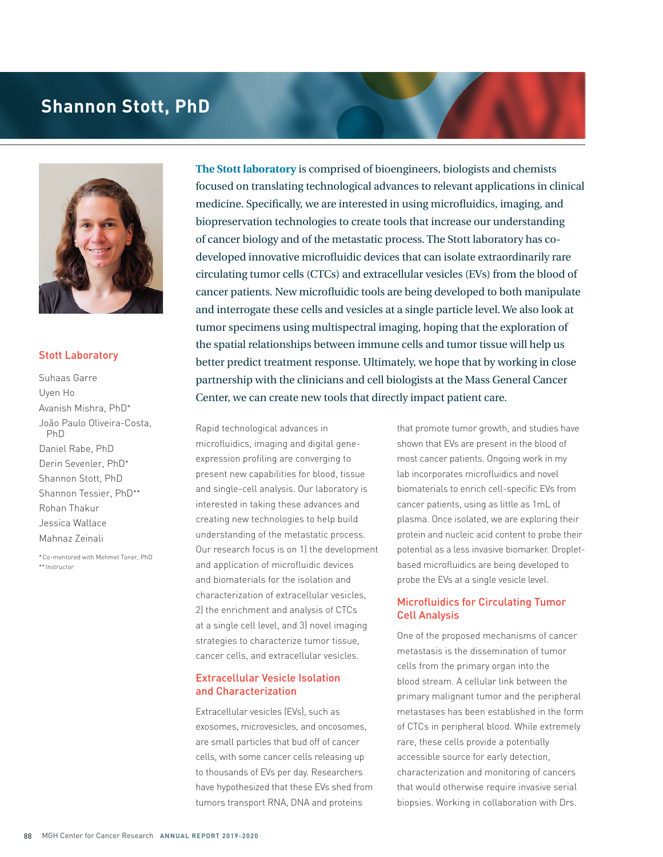# **Shannon Stott, PhD**



#### Stott Laboratory

Suhaas Garre Uyen Ho Avanish Mishra, PhD\* João Paulo Oliveira-Costa, PhD Daniel Rabe, PhD Derin Sevenler, PhD\* Shannon Stott, PhD Shannon Tessier, PhD\*\* Rohan Thakur Jessica Wallace Mahnaz Zeinali

\*Co-mentored with Mehmet Toner, PhD \*\*Instructor

**The Stott laboratory** is comprised of bioengineers, biologists and chemists focused on translating technological advances to relevant applications in clinical medicine. Specifically, we are interested in using microfluidics, imaging, and biopreservation technologies to create tools that increase our understanding of cancer biology and of the metastatic process. The Stott laboratory has codeveloped innovative microfluidic devices that can isolate extraordinarily rare circulating tumor cells (CTCs) and extracellular vesicles (EVs) from the blood of cancer patients. New microfluidic tools are being developed to both manipulate and interrogate these cells and vesicles at a single particle level. We also look at tumor specimens using multispectral imaging, hoping that the exploration of the spatial relationships between immune cells and tumor tissue will help us better predict treatment response. Ultimately, we hope that by working in close partnership with the clinicians and cell biologists at the Mass General Cancer Center, we can create new tools that directly impact patient care.

Rapid technological advances in microfluidics, imaging and digital geneexpression profiling are converging to present new capabilities for blood, tissue and single-cell analysis. Our laboratory is interested in taking these advances and creating new technologies to help build understanding of the metastatic process. Our research focus is on 1) the development and application of microfluidic devices and biomaterials for the isolation and characterization of extracellular vesicles, 2) the enrichment and analysis of CTCs at a single cell level, and 3) novel imaging strategies to characterize tumor tissue, cancer cells, and extracellular vesicles.

# Extracellular Vesicle Isolation and Characterization

Extracellular vesicles (EVs), such as exosomes, microvesicles, and oncosomes, are small particles that bud off of cancer cells, with some cancer cells releasing up to thousands of EVs per day. Researchers have hypothesized that these EVs shed from tumors transport RNA, DNA and proteins

that promote tumor growth, and studies have shown that EVs are present in the blood of most cancer patients. Ongoing work in my lab incorporates microfluidics and novel biomaterials to enrich cell-specific EVs from cancer patients, using as little as 1mL of plasma. Once isolated, we are exploring their protein and nucleic acid content to probe their potential as a less invasive biomarker. Dropletbased microfluidics are being developed to probe the EVs at a single vesicle level.

### Microfluidics for Circulating Tumor Cell Analysis

One of the proposed mechanisms of cancer metastasis is the dissemination of tumor cells from the primary organ into the blood stream. A cellular link between the primary malignant tumor and the peripheral metastases has been established in the form of CTCs in peripheral blood. While extremely rare, these cells provide a potentially accessible source for early detection, characterization and monitoring of cancers that would otherwise require invasive serial biopsies. Working in collaboration with Drs.